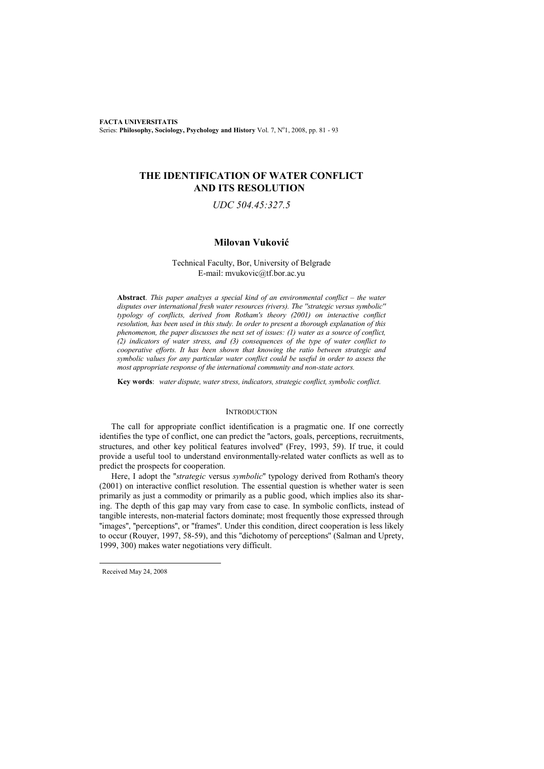**FACTA UNIVERSITATIS** Series: Philosophy, Sociology, Psychology and History Vol. 7, Nº1, 2008, pp. 81 - 93

# **THE IDENTIFICATION OF WATER CONFLICT AND ITS RESOLUTION**

# *UDC 504.45:327.5*

## **Milovan Vuković**

### Technical Faculty, Bor, University of Belgrade E-mail: mvukovic@tf.bor.ac.yu

**Abstract**. *This paper analzyes a special kind of an environmental conflict – the water disputes over international fresh water resources (rivers). The ''strategic versus symbolic'' typology of conflicts, derived from Rotham's theory (2001) on interactive conflict resolution, has been used in this study. In order to present a thorough explаnation of this phenomenon, the paper discusses the next set of issues: (1) water as a source of conflict, (2) indicators of water stress, and (3) consequences of the type of water conflict to cooperative efforts. It has been shown that knowing the ratio between strategic and symbolic values for any particular water conflict could be useful in order to assess the most appropriate response of the international community and non-state actors.* 

**Key words**: *water dispute, water stress, indicators, strategic conflict, symbolic conflict.*

### **INTRODUCTION**

The call for appropriate conflict identification is a pragmatic one. If one correctly identifies the type of conflict, one can predict the ''actors, goals, perceptions, recruitments, structures, and other key political features involved'' (Frey, 1993, 59). If true, it could provide a useful tool to understand environmentally-related water conflicts as well as to predict the prospects for cooperation.

Here, I adopt the ''*strategic* versus *symbolic*'' typology derived from Rotham's theory (2001) on interactive conflict resolution. The essential question is whether water is seen primarily as just a commodity or primarily as a public good, which implies also its sharing. The depth of this gap may vary from case to case. In symbolic conflicts, instead of tangible interests, non-material factors dominate; most frequently those expressed through ''images'', ''perceptions'', or ''frames''. Under this condition, direct cooperation is less likely to occur (Rouyer, 1997, 58-59), and this ''dichotomy of perceptions'' (Salman and Uprety, 1999, 300) makes water negotiations very difficult.

 $\overline{a}$ 

Received May 24, 2008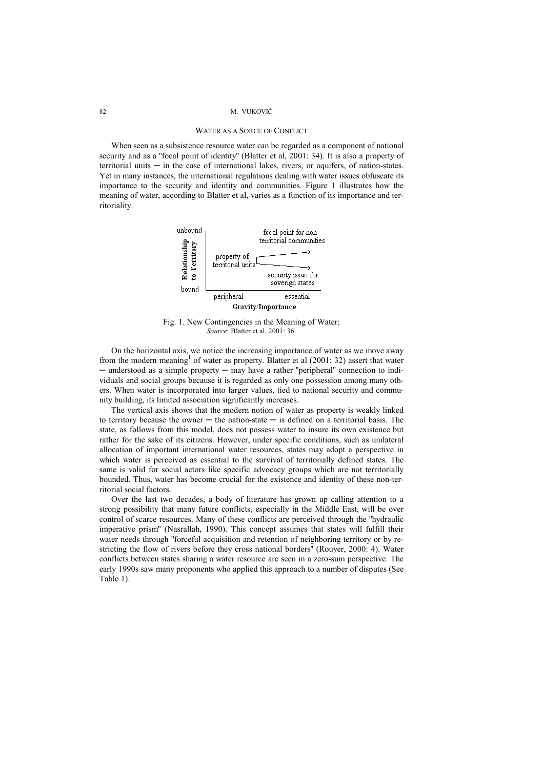### WATER AS A SORCE OF CONFLICT

When seen as a subsistence resource water can be regarded as a component of national security and as a ''focal point of identity'' (Blatter et al, 2001: 34). It is also a property of territorial units  $-$  in the case of international lakes, rivers, or aquifers, of nation-states. Yet in many instances, the international regulations dealing with water issues obfuscate its importance to the security and identity and communities. Figure 1 illustrates how the meaning of water, according to Blatter et al, varies as a function of its importance and territoriality.



Fig. 1. New Contingencies in the Meaning of Water; *Source*: Blatter et al, 2001: 36.

On the horizontal axis, we notice the increasing importance of water as we move away from the modern meaning<sup>1</sup> of water as property. Blatter et al  $(2001: 32)$  assert that water ─ understood as a simple property ─ may have a rather ''peripheral'' connection to individuals and social groups because it is regarded as only one possession among many others. When water is incorporated into larger values, tied to national security and community building, its limited association significantly increases.

The vertical axis shows that the modern notion of water as property is weakly linked to territory because the owner — the nation-state — is defined on a territorial basis. The state, as follows from this model, does not possess water to insure its own existence but rather for the sake of its citizens. However, under specific conditions, such as unilateral allocation of important international water resources, states may adopt a perspective in which water is perceived as essential to the survival of territorially defined states. The same is valid for social actors like specific advocacy groups which are not territorially bounded. Thus, water has become crucial for the existence and identity of these non-territorial social factors.

Over the last two decades, a body of literature has grown up calling attention to a strong possibility that many future conflicts, especially in the Middle East, will be over control of scarce resources. Many of these conflicts are perceived through the ''hydraulic imperative prism'' (Nasrallah, 1990). This concept assumes that states will fulfill their water needs through "forceful acquisition and retention of neighboring territory or by restricting the flow of rivers before they cross national borders'' (Rouyer, 2000: 4). Water conflicts between states sharing a water resource are seen in a zero-sum perspective. The early 1990s saw many proponents who applied this approach to a number of disputes (See Table 1).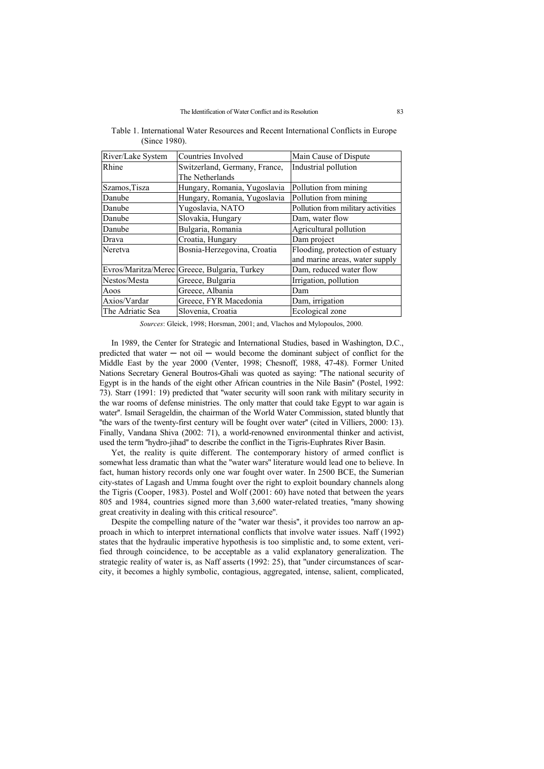| River/Lake System | <b>Countries Involved</b>                    | Main Cause of Dispute              |
|-------------------|----------------------------------------------|------------------------------------|
| Rhine             | Switzerland, Germany, France,                | Industrial pollution               |
|                   | The Netherlands                              |                                    |
| Szamos, Tisza     | Hungary, Romania, Yugoslavia                 | Pollution from mining              |
| Danube            | Hungary, Romania, Yugoslavia                 | Pollution from mining              |
| Danube            | Yugoslavia, NATO                             | Pollution from military activities |
| Danube            | Slovakia, Hungary                            | Dam, water flow                    |
| Danube            | Bulgaria, Romania                            | Agricultural pollution             |
| Drava             | Croatia, Hungary                             | Dam project                        |
| Neretva           | Bosnia-Herzegovina, Croatia                  | Flooding, protection of estuary    |
|                   |                                              | and marine areas, water supply     |
|                   | Evros/Maritza/Merec Greece, Bulgaria, Turkey | Dam, reduced water flow            |
| Nestos/Mesta      | Greece, Bulgaria                             | Irrigation, pollution              |
| Aoos              | Greece, Albania                              | Dam                                |
| Axios/Vardar      | Greece, FYR Macedonia                        | Dam, irrigation                    |
| The Adriatic Sea  | Slovenia, Croatia                            | Ecological zone                    |

Table 1. International Water Resources and Recent International Conflicts in Europe (Since 1980).

*Sources*: Gleick, 1998; Horsman, 2001; and, Vlachos and Mylopoulos, 2000.

In 1989, the Center for Strategic and International Studies, based in Washington, D.C., predicted that water  $-$  not oil  $-$  would become the dominant subject of conflict for the Middle East by the year 2000 (Venter, 1998; Chesnoff, 1988, 47-48). Former United Nations Secretary General Boutros-Ghali was quoted as saying: ''The national security of Egypt is in the hands of the eight other African countries in the Nile Basin'' (Postel, 1992: 73). Starr (1991: 19) predicted that ''water security will soon rank with military security in the war rooms of defense ministries. The only matter that could take Egypt to war again is water''. Ismail Serageldin, the chairman of the World Water Commission, stated bluntly that ''the wars of the twenty-first century will be fought over water'' (cited in Villiers, 2000: 13). Finally, Vandana Shiva (2002: 71), a world-renowned environmental thinker and activist, used the term ''hydro-jihad'' to describe the conflict in the Tigris-Euphrates River Basin.

Yet, the reality is quite different. The contemporary history of armed conflict is somewhat less dramatic than what the ''water wars'' literature would lead one to believe. In fact, human history records only one war fought over water. In 2500 BCE, the Sumerian city-states of Lagash and Umma fought over the right to exploit boundary channels along the Tigris (Cooper, 1983). Postel and Wolf (2001: 60) have noted that between the years 805 and 1984, countries signed more than 3,600 water-related treaties, ''many showing great creativity in dealing with this critical resource''.

Despite the compelling nature of the ''water war thesis'', it provides too narrow an approach in which to interpret international conflicts that involve water issues. Naff (1992) states that the hydraulic imperative hypothesis is too simplistic and, to some extent, verified through coincidence, to be acceptable as a valid explanatory generalization. The strategic reality of water is, as Naff asserts (1992: 25), that ''under circumstances of scarcity, it becomes a highly symbolic, contagious, aggregated, intense, salient, complicated,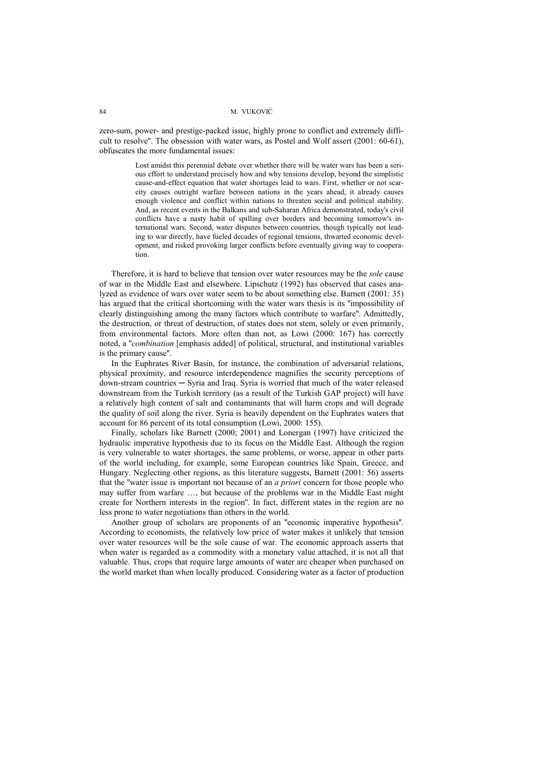zero-sum, power- and prestige-packed issue, highly prone to conflict and extremely difficult to resolve''. The obsession with water wars, as Postel and Wolf assert (2001: 60-61), obfuscates the more fundamental issues:

> Lost amidst this perennial debate over whether there will be water wars has been a serious effort to understand precisely how and why tensions develop, beyond the simplistic cause-and-effect equation that water shortages lead to wars. First, whether or not scarcity causes outright warfare between nations in the years ahead, it already causes enough violence and conflict within nations to threaten social and political stability. And, as recent events in the Balkans and sub-Saharan Africa demonstrated, today's civil conflicts have a nasty habit of spilling over borders and becoming tomorrow's international wars. Second, water disputes between countries, though typically not leading to war directly, have fueled decades of regional tensions, thwarted economic development, and risked provoking larger conflicts before eventually giving way to cooperation.

Therefore, it is hard to believe that tension over water resources may be the *sole* cause of war in the Middle East and elsewhere. Lipschutz (1992) has observed that cases analyzed as evidence of wars over water seem to be about something else. Barnett (2001: 35) has argued that the critical shortcoming with the water wars thesis is its ''impossibility of clearly distinguishing among the many factors which contribute to warfare''. Admittedly, the destruction, or threat of destruction, of states does not stem, solely or even primarily, from environmental factors. More often than not, as Lowi (2000: 167) has correctly noted, a ''*combination* [emphasis added] of political, structural, and institutional variables is the primary cause''.

In the Euphrates River Basin, for instance, the combination of adversarial relations, physical proximity, and resource interdependence magnifies the security perceptions of down-stream countries ─ Syria and Iraq. Syria is worried that much of the water released downstream from the Turkish territory (as a result of the Turkish GAP project) will have a relatively high content of salt and contaminants that will harm crops and will degrade the quality of soil along the river. Syria is heavily dependent on the Euphrates waters that account for 86 percent of its total consumption (Lowi, 2000: 155).

Finally, scholars like Barnett (2000; 2001) and Lonergan (1997) have criticized the hydraulic imperative hypothesis due to its focus on the Middle East. Although the region is very vulnerable to water shortages, the same problems, or worse, appear in other parts of the world including, for example, some European countries like Spain, Greece, and Hungary. Neglecting other regions, as this literature suggests, Barnett (2001: 56) asserts that the ''water issue is important not because of an *a priori* concern for those people who may suffer from warfare …, but because of the problems war in the Middle East might create for Northern interests in the region''. In fact, different states in the region are no less prone to water negotiations than others in the world.

Another group of scholars are proponents of an ''economic imperative hypothesis''. According to economists, the relatively low price of water makes it unlikely that tension over water resources will be the sole cause of war. The economic approach asserts that when water is regarded as a commodity with a monetary value attached, it is not all that valuable. Thus, crops that require large amounts of water are cheaper when purchased on the world market than when locally produced. Considering water as a factor of production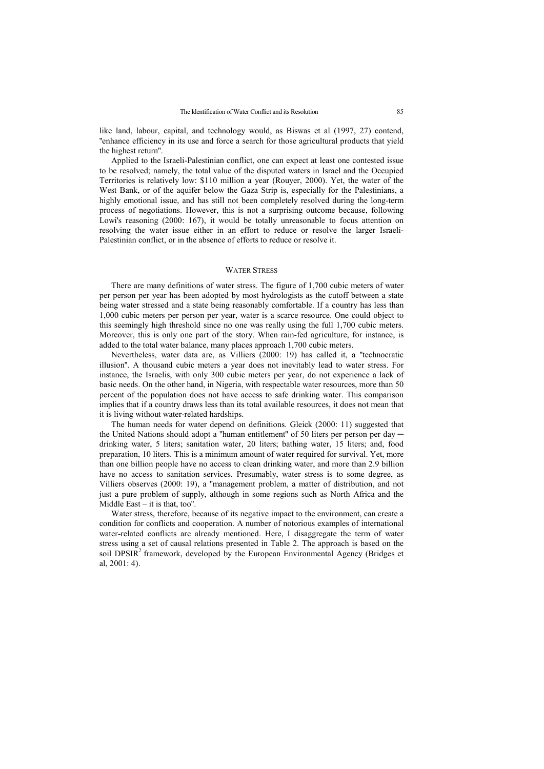like land, labour, capital, and technology would, as Biswas et al (1997, 27) contend, ''enhance efficiency in its use and force a search for those agricultural products that yield the highest return''.

Applied to the Israeli-Palestinian conflict, one can expect at least one contested issue to be resolved; namely, the total value of the disputed waters in Israel and the Occupied Territories is relatively low: \$110 million a year (Rouyer, 2000). Yet, the water of the West Bank, or of the aquifer below the Gaza Strip is, especially for the Palestinians, a highly emotional issue, and has still not been completely resolved during the long-term process of negotiations. However, this is not a surprising outcome because, following Lowi's reasoning (2000: 167), it would be totally unreasonable to focus attention on resolving the water issue either in an effort to reduce or resolve the larger Israeli-Palestinian conflict, or in the absence of efforts to reduce or resolve it.

#### WATER STRESS

There are many definitions of water stress. The figure of 1,700 cubic meters of water per person per year has been adopted by most hydrologists as the cutoff between a state being water stressed and a state being reasonably comfortable. If a country has less than 1,000 cubic meters per person per year, water is a scarce resource. One could object to this seemingly high threshold since no one was really using the full 1,700 cubic meters. Moreover, this is only one part of the story. When rain-fed agriculture, for instance, is added to the total water balance, many places approach 1,700 cubic meters.

Nevertheless, water data are, as Villiers (2000: 19) has called it, a ''technocratic illusion''. A thousand cubic meters a year does not inevitably lead to water stress. For instance, the Israelis, with only 300 cubic meters per year, do not experience a lack of basic needs. On the other hand, in Nigeria, with respectable water resources, more than 50 percent of the population does not have access to safe drinking water. This comparison implies that if a country draws less than its total available resources, it does not mean that it is living without water-related hardships.

The human needs for water depend on definitions. Gleick (2000: 11) suggested that the United Nations should adopt a "human entitlement" of 50 liters per person per day drinking water, 5 liters; sanitation water, 20 liters; bathing water, 15 liters; and, food preparation, 10 liters. This is a minimum amount of water required for survival. Yet, more than one billion people have no access to clean drinking water, and more than 2.9 billion have no access to sanitation services. Presumably, water stress is to some degree, as Villiers observes (2000: 19), a ''management problem, a matter of distribution, and not just a pure problem of supply, although in some regions such as North Africa and the Middle East – it is that, too''.

Water stress, therefore, because of its negative impact to the environment, can create a condition for conflicts and cooperation. A number of notorious examples of international water-related conflicts are already mentioned. Here, I disaggregate the term of water stress using a set of causal relations presented in Table 2. The approach is based on the soil DPSIR<sup>2</sup> framework, developed by the European Environmental Agency (Bridges et al, 2001: 4).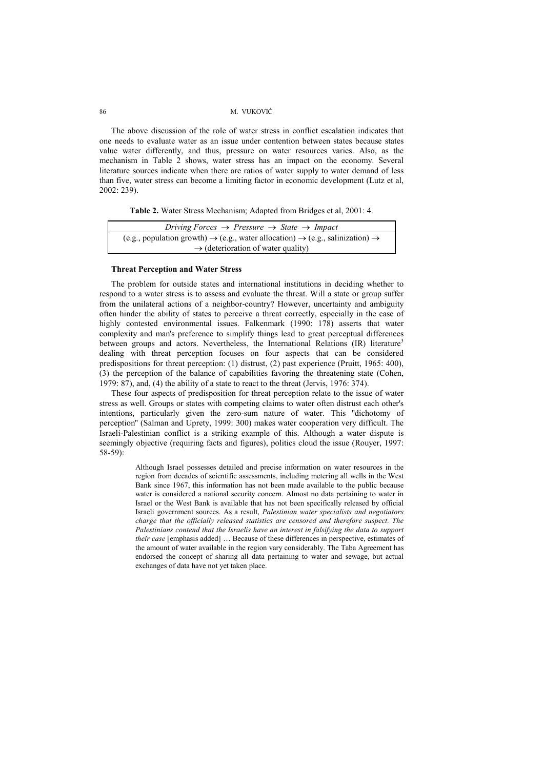The above discussion of the role of water stress in conflict escalation indicates that one needs to evaluate water as an issue under contention between states because states value water differently, and thus, pressure on water resources varies. Also, as the mechanism in Table 2 shows, water stress has an impact on the economy. Several literature sources indicate when there are ratios of water supply to water demand of less than five, water stress can become a limiting factor in economic development (Lutz et al, 2002: 239).

**Table 2.** Water Stress Mechanism; Adapted from Bridges et al, 2001: 4.

| Driving Forces $\rightarrow$ Pressure $\rightarrow$ State $\rightarrow$ Impact                                    |  |  |
|-------------------------------------------------------------------------------------------------------------------|--|--|
| (e.g., population growth) $\rightarrow$ (e.g., water allocation) $\rightarrow$ (e.g., salinization) $\rightarrow$ |  |  |
| $\rightarrow$ (deterioration of water quality)                                                                    |  |  |

### **Threat Perception and Water Stress**

The problem for outside states and international institutions in deciding whether to respond to a water stress is to assess and evaluate the threat. Will a state or group suffer from the unilateral actions of a neighbor-country? However, uncertainty and ambiguity often hinder the ability of states to perceive a threat correctly, especially in the case of highly contested environmental issues. Falkenmark (1990: 178) asserts that water complexity and man's preference to simplify things lead to great perceptual differences between groups and actors. Nevertheless, the International Relations (IR) literature<sup>3</sup> dealing with threat perception focuses on four aspects that can be considered predispositions for threat perception: (1) distrust, (2) past experience (Pruitt, 1965: 400), (3) the perception of the balance of capabilities favoring the threatening state (Cohen, 1979: 87), and, (4) the ability of a state to react to the threat (Jervis, 1976: 374).

These four aspects of predisposition for threat perception relate to the issue of water stress as well. Groups or states with competing claims to water often distrust each other's intentions, particularly given the zero-sum nature of water. This ''dichotomy of perception'' (Salman and Uprety, 1999: 300) makes water cooperation very difficult. The Israeli-Palestinian conflict is a striking example of this. Although a water dispute is seemingly objective (requiring facts and figures), politics cloud the issue (Rouyer, 1997: 58-59):

> Although Israel possesses detailed and precise information on water resources in the region from decades of scientific assessments, including metering all wells in the West Bank since 1967, this information has not been made available to the public because water is considered a national security concern. Almost no data pertaining to water in Israel or the West Bank is available that has not been specifically released by official Israeli government sources. As a result, *Palestinian water specialists and negotiators charge that the officially released statistics are censored and therefore suspect. The Palestinians contend that the Israelis have an interest in falsifying the data to support their case* [emphasis added] … Because of these differences in perspective, estimates of the amount of water available in the region vary considerably. The Taba Agreement has endorsed the concept of sharing all data pertaining to water and sewage, but actual exchanges of data have not yet taken place.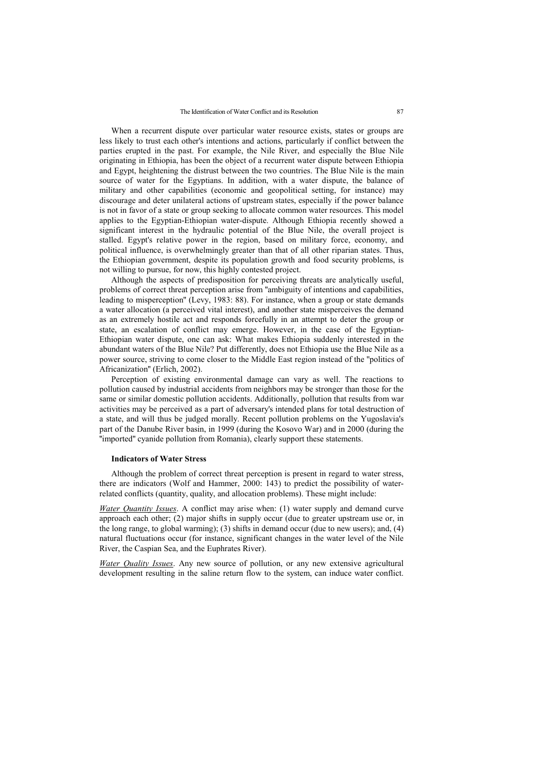When a recurrent dispute over particular water resource exists, states or groups are less likely to trust each other's intentions and actions, particularly if conflict between the parties erupted in the past. For example, the Nile River, and especially the Blue Nile originating in Ethiopia, has been the object of a recurrent water dispute between Ethiopia and Egypt, heightening the distrust between the two countries. The Blue Nile is the main source of water for the Egyptians. In addition, with a water dispute, the balance of military and other capabilities (economic and geopolitical setting, for instance) may discourage and deter unilateral actions of upstream states, especially if the power balance is not in favor of a state or group seeking to allocate common water resources. This model applies to the Egyptian-Ethiopian water-dispute. Although Ethiopia recently showed a significant interest in the hydraulic potential of the Blue Nile, the overall project is stalled. Egypt's relative power in the region, based on military force, economy, and political influence, is overwhelmingly greater than that of all other riparian states. Thus, the Ethiopian government, despite its population growth and food security problems, is not willing to pursue, for now, this highly contested project.

Although the aspects of predisposition for perceiving threats are analytically useful, problems of correct threat perception arise from ''ambiguity of intentions and capabilities, leading to misperception'' (Levy, 1983: 88). For instance, when a group or state demands a water allocation (a perceived vital interest), and another state misperceives the demand as an extremely hostile act and responds forcefully in an attempt to deter the group or state, an escalation of conflict may emerge. However, in the case of the Egyptian-Ethiopian water dispute, one can ask: What makes Ethiopia suddenly interested in the abundant waters of the Blue Nile? Put differently, does not Ethiopia use the Blue Nile as a power source, striving to come closer to the Middle East region instead of the ''politics of Africanization'' (Erlich, 2002).

Perception of existing environmental damage can vary as well. The reactions to pollution caused by industrial accidents from neighbors may be stronger than those for the same or similar domestic pollution accidents. Additionally, pollution that results from war activities may be perceived as a part of adversary's intended plans for total destruction of a state, and will thus be judged morally. Recent pollution problems on the Yugoslavia's part of the Danube River basin, in 1999 (during the Kosovo War) and in 2000 (during the ''imported'' cyanide pollution from Romania), clearly support these statements.

### **Indicators of Water Stress**

Although the problem of correct threat perception is present in regard to water stress, there are indicators (Wolf and Hammer, 2000: 143) to predict the possibility of waterrelated conflicts (quantity, quality, and allocation problems). These might include:

*Water Quantity Issues*. A conflict may arise when: (1) water supply and demand curve approach each other; (2) major shifts in supply occur (due to greater upstream use or, in the long range, to global warming); (3) shifts in demand occur (due to new users); and, (4) natural fluctuations occur (for instance, significant changes in the water level of the Nile River, the Caspian Sea, and the Euphrates River).

*Water Quality Issues*. Any new source of pollution, or any new extensive agricultural development resulting in the saline return flow to the system, can induce water conflict.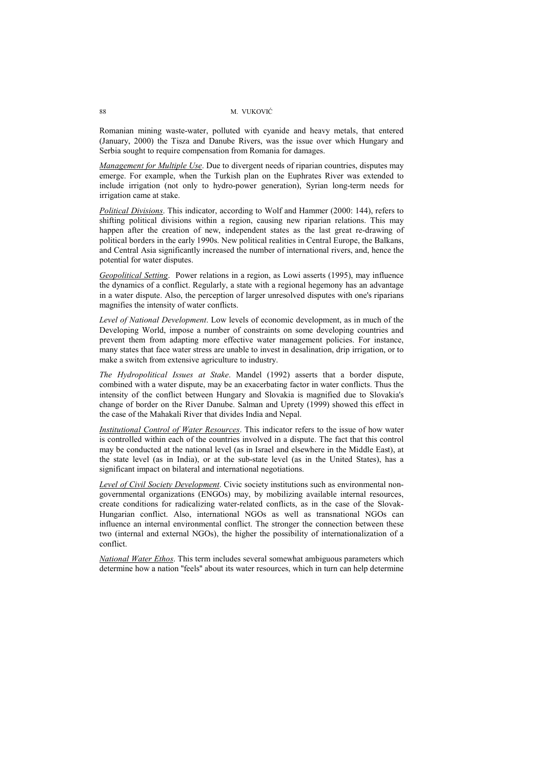Romanian mining waste-water, polluted with cyanide and heavy metals, that entered (January, 2000) the Tisza and Danube Rivers, was the issue over which Hungary and Serbia sought to require compensation from Romania for damages.

*Management for Multiple Use*. Due to divergent needs of riparian countries, disputes may emerge. For example, when the Turkish plan on the Euphrates River was extended to include irrigation (not only to hydro-power generation), Syrian long-term needs for irrigation came at stake.

*Political Divisions*. This indicator, according to Wolf and Hammer (2000: 144), refers to shifting political divisions within a region, causing new riparian relations. This may happen after the creation of new, independent states as the last great re-drawing of political borders in the early 1990s. New political realities in Central Europe, the Balkans, and Central Asia significantly increased the number of international rivers, and, hence the potential for water disputes.

*Geopolitical Setting*. Power relations in a region, as Lowi asserts (1995), may influence the dynamics of a conflict. Regularly, a state with a regional hegemony has an advantage in a water dispute. Also, the perception of larger unresolved disputes with one's riparians magnifies the intensity of water conflicts.

*Level of National Development*. Low levels of economic development, as in much of the Developing World, impose a number of constraints on some developing countries and prevent them from adapting more effective water management policies. For instance, many states that face water stress are unable to invest in desalination, drip irrigation, or to make a switch from extensive agriculture to industry.

*The Hydropolitical Issues at Stake*. Mandel (1992) asserts that a border dispute, combined with a water dispute, may be an exacerbating factor in water conflicts. Thus the intensity of the conflict between Hungary and Slovakia is magnified due to Slovakia's change of border on the River Danube. Salman and Uprety (1999) showed this effect in the case of the Mahakali River that divides India and Nepal.

*Institutional Control of Water Resources*. This indicator refers to the issue of how water is controlled within each of the countries involved in a dispute. The fact that this control may be conducted at the national level (as in Israel and elsewhere in the Middle East), at the state level (as in India), or at the sub-state level (as in the United States), has a significant impact on bilateral and international negotiations.

*Level of Civil Society Development*. Civic society institutions such as environmental nongovernmental organizations (ENGOs) may, by mobilizing available internal resources, create conditions for radicalizing water-related conflicts, as in the case of the Slovak-Hungarian conflict. Also, international NGOs as well as transnational NGOs can influence an internal environmental conflict. The stronger the connection between these two (internal and external NGOs), the higher the possibility of internationalization of a conflict.

*National Water Ethos*. This term includes several somewhat ambiguous parameters which determine how a nation ''feels'' about its water resources, which in turn can help determine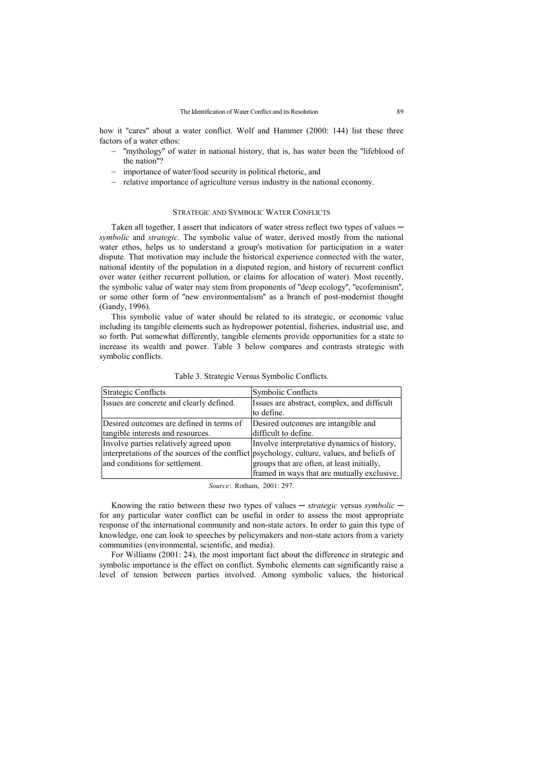how it "cares" about a water conflict. Wolf and Hammer (2000: 144) list these three factors of a water ethos:

- − ''mythology'' of water in national history, that is, has water been the ''lifeblood of the nation''?
- − importance of water/food security in political rhetoric, and
- − relative importance of agriculture versus industry in the national economy.

### STRATEGIC AND SYMBOLIC WATER CONFLICTS

Taken all together, I assert that indicators of water stress reflect two types of values *symbolic* and *strategic*. The symbolic value of water, derived mostly from the national water ethos, helps us to understand a group's motivation for participation in a water dispute. That motivation may include the historical experience connected with the water, national identity of the population in a disputed region, and history of recurrent conflict over water (either recurrent pollution, or claims for allocation of water). Most recently, the symbolic value of water may stem from proponents of ''deep ecology'', ''ecofeminism'', or some other form of ''new environmentalism'' as a branch of post-modernist thought (Gandy, 1996).

This symbolic value of water should be related to its strategic, or economic value including its tangible elements such as hydropower potential, fisheries, industrial use, and so forth. Put somewhat differently, tangible elements provide opportunities for a state to increase its wealth and power. Table 3 below compares and contrasts strategic with symbolic conflicts.

| <b>Strategic Conflicts</b>                                                                 | <b>Symbolic Conflicts</b>                                 |
|--------------------------------------------------------------------------------------------|-----------------------------------------------------------|
| Issues are concrete and clearly defined.                                                   | Issues are abstract, complex, and difficult<br>to define. |
| Desired outcomes are defined in terms of                                                   | Desired outcomes are intangible and                       |
| tangible interests and resources.                                                          | difficult to define.                                      |
| Involve parties relatively agreed upon                                                     | Involve interpretative dynamics of history,               |
| interpretations of the sources of the conflict psychology, culture, values, and beliefs of | groups that are often, at least initially,                |
| and conditions for settlement.                                                             | framed in ways that are mutually exclusive.               |

Table 3. Strategic Versus Symbolic Conflicts.

*Source*: Rotham, 2001: 297.

Knowing the ratio between these two types of values ─ *strategic* versus *symbolic* ─ for any particular water conflict can be useful in order to assess the most appropriate response of the international community and non-state actors. In order to gain this type of knowledge, one can look to speeches by policymakers and non-state actors from a variety communities (environmental, scientific, and media).

For Williams (2001: 24), the most important fact about the difference in strategic and symbolic importance is the effect on conflict. Symbolic elements can significantly raise a level of tension between parties involved. Among symbolic values, the historical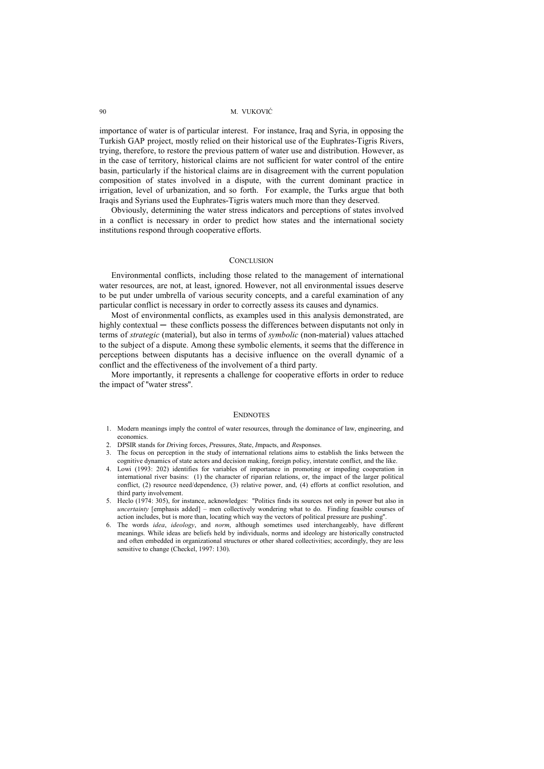importance of water is of particular interest. For instance, Iraq and Syria, in opposing the Turkish GAP project, mostly relied on their historical use of the Euphrates-Tigris Rivers, trying, therefore, to restore the previous pattern of water use and distribution. However, as in the case of territory, historical claims are not sufficient for water control of the entire basin, particularly if the historical claims are in disagreement with the current population composition of states involved in a dispute, with the current dominant practice in irrigation, level of urbanization, and so forth. For example, the Turks argue that both Iraqis and Syrians used the Euphrates-Tigris waters much more than they deserved.

Obviously, determining the water stress indicators and perceptions of states involved in a conflict is necessary in order to predict how states and the international society institutions respond through cooperative efforts.

### **CONCLUSION**

Environmental conflicts, including those related to the management of international water resources, are not, at least, ignored. However, not all environmental issues deserve to be put under umbrella of various security concepts, and a careful examination of any particular conflict is necessary in order to correctly assess its causes and dynamics.

Most of environmental conflicts, as examples used in this analysis demonstrated, are highly contextual — these conflicts possess the differences between disputants not only in terms of *strategic* (material), but also in terms of *symbolic* (non-material) values attached to the subject of a dispute. Among these symbolic elements, it seems that the difference in perceptions between disputants has a decisive influence on the overall dynamic of a conflict and the effectiveness of the involvement of a third party.

More importantly, it represents a challenge for cooperative efforts in order to reduce the impact of ''water stress''.

#### ENDNOTES

- 1. Modern meanings imply the control of water resources, through the dominance of law, engineering, and economics.
- 2. DPSIR stands for *D*riving forces, *P*ressures, *S*tate, *I*mpacts, and *R*esponses.
- 3. The focus on perception in the study of international relations aims to establish the links between the cognitive dynamics of state actors and decision making, foreign policy, interstate conflict, and the like.
- 4. Lowi (1993: 202) identifies for variables of importance in promoting or impeding cooperation in international river basins: (1) the character of riparian relations, or, the impact of the larger political conflict, (2) resource need/dependence, (3) relative power, and, (4) efforts at conflict resolution, and third party involvement.
- 5. Heclo (1974: 305), for instance, acknowledges: ''Politics finds its sources not only in power but also in *uncertainty* [emphasis added] – men collectively wondering what to do. Finding feasible courses of action includes, but is more than, locating which way the vectors of political pressure are pushing''.
- 6. The words *idea*, *ideology*, and *norm*, although sometimes used interchangeably, have different meanings. While ideas are beliefs held by individuals, norms and ideology are historically constructed and often embedded in organizational structures or other shared collectivities; accordingly, they are less sensitive to change (Checkel, 1997: 130).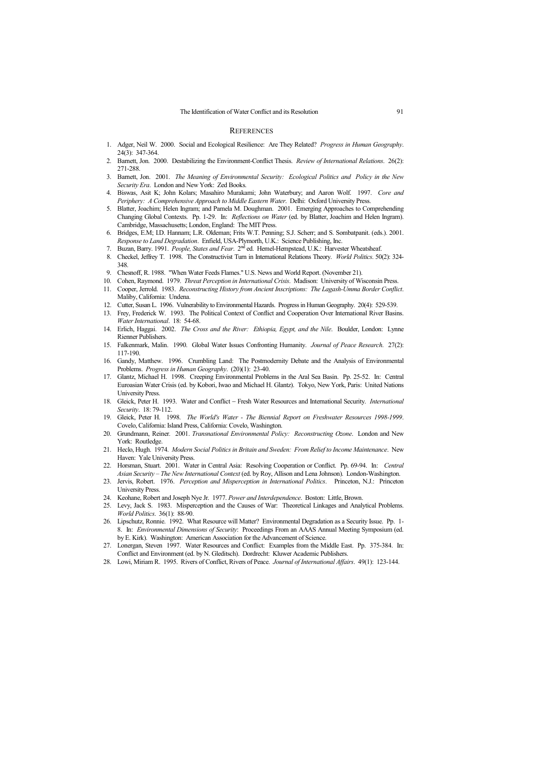#### **REFERENCES**

- 1. Adger, Neil W. 2000. Social and Ecological Resilience: Are They Related? *Progress in Human Geography*. 24(3): 347-364.
- 2. Barnett, Jon. 2000. Destabilizing the Environment-Conflict Thesis. *Review of International Relations*. 26(2): 271-288.
- 3. Barnett, Jon. 2001. *The Meaning of Environmental Security: Ecological Politics and Policy in the New Security Era*. London and New York: Zed Books.
- 4. Biswas, Asit K; John Kolars; Masahiro Murakami; John Waterbury; and Aaron Wolf. 1997. *Core and Periphery: A Comprehensive Approach to Middle Eastern Water*. Delhi: Oxford University Press.
- 5. Blatter, Joachim; Helen Ingram; and Pamela M. Doughman. 2001. Emerging Approaches to Comprehending Changing Global Contexts. Pp. 1-29. In: *Reflections on Water* (ed. by Blatter, Joachim and Helen Ingram). Cambridge, Massachusetts; London, England: The MIT Press.
- 6. Bridges, E.M; I.D. Hannam; L.R. Oldeman; Frits W.T. Penning; S.J. Scherr; and S. Sombatpanit. (eds.). 2001. *Response to Land Degradation*. Enfield, USA-Plymorth, U.K.: Science Publishing, Inc.
- 7. Buzan, Barry. 1991. *People, States and Fear*. 2nd ed. Hemel-Hempstead, U.K.: Harvester Wheatsheaf.
- 8. Checkel, Jeffrey T. 1998. The Constructivist Turn in International Relations Theory. *World Politics*. 50(2): 324- 348.
- 9. Chesnoff, R. 1988. "When Water Feeds Flames." U.S. News and World Report. (November 21).
- 10. Cohen, Raymond. 1979. *Threat Perception in International Crisis*. Madison: University of Wisconsin Press.
- 11. Cooper, Jerrold. 1983. *Reconstructing History from Ancient Inscriptions: The Lagash-Umma Border Conflict*. Maliby, California: Undena.
- 12. Cutter, Susan L. 1996. Vulnerability to Environmental Hazards. Progress in Human Geography. 20(4): 529-539.
- 13. Frey, Frederick W. 1993. The Political Context of Conflict and Cooperation Over International River Basins. *Water International*. 18: 54-68.
- 14. Erlich, Haggai. 2002. *The Cross and the River: Ethiopia, Egypt, and the Nile*. Boulder, London: Lynne Rienner Publishers.
- 15. Falkenmark, Malin. 1990. Global Water Issues Confronting Humanity. *Journal of Peace Research*. 27(2): 117-190.
- 16. Gandy, Matthew. 1996. Crumbling Land: The Postmodernity Debate and the Analysis of Environmental Problems. *Progress in Human Geography*. (20)(1): 23-40.
- 17. Glantz, Michael H. 1998. Creeping Environmental Problems in the Aral Sea Basin. Pp. 25-52. In: Central Euroasian Water Crisis (ed. by Kobori, Iwao and Michael H. Glantz). Tokyo, New York, Paris: United Nations University Press.
- 18. Gleick, Peter H. 1993. Water and Conflict − Fresh Water Resources and International Security. *International Security*. 18: 79-112.
- 19. Gleick, Peter H. 1998. *The World's Water The Biennial Report on Freshwater Resources 1998-1999*. Covelo, California: Island Press, California: Covelo, Washington.
- 20. Grundmann, Reiner. 2001. *Transnational Environmental Policy: Reconstructing Ozone*. London and New York: Routledge.
- 21. Heclo, Hugh. 1974. *Modern Social Politics in Britain and Sweden: From Relief to Income Maintenance*. New Haven: Yale University Press.
- 22. Horsman, Stuart. 2001. Water in Central Asia: Resolving Cooperation or Conflict. Pp. 69-94. In: *Central Asian Security – The New International Context* (ed. by Roy, Allison and Lena Johnson). London-Washington.
- 23. Jervis, Robert. 1976. *Perception and Misperception in International Politics*. Princeton, N.J.: Princeton University Press.
- 24. Keohane, Robert and Joseph Nye Jr. 1977. *Power and Interdependence*. Boston: Little, Brown.
- 25. Levy, Jack S. 1983. Misperception and the Causes of War: Theoretical Linkages and Analytical Problems. *World Politics*. 36(1): 88-90.
- 26. Lipschutz, Ronnie. 1992. What Resource will Matter? Environmental Degradation as a Security Issue. Pp. 1- 8. In: *Environmental Dimensions of Security*: Proceedings From an AAAS Annual Meeting Symposium (ed. by E. Kirk). Washington: American Association for the Advancement of Science.
- 27. Lonergan, Steven 1997. Water Resources and Conflict: Examples from the Middle East. Pp. 375-384. In: Conflict and Environment (ed. by N. Gleditsch). Dordrecht: Kluwer Academic Publishers.
- 28. Lowi, Miriam R. 1995. Rivers of Conflict, Rivers of Peace. *Journal of International Affairs*. 49(1): 123-144.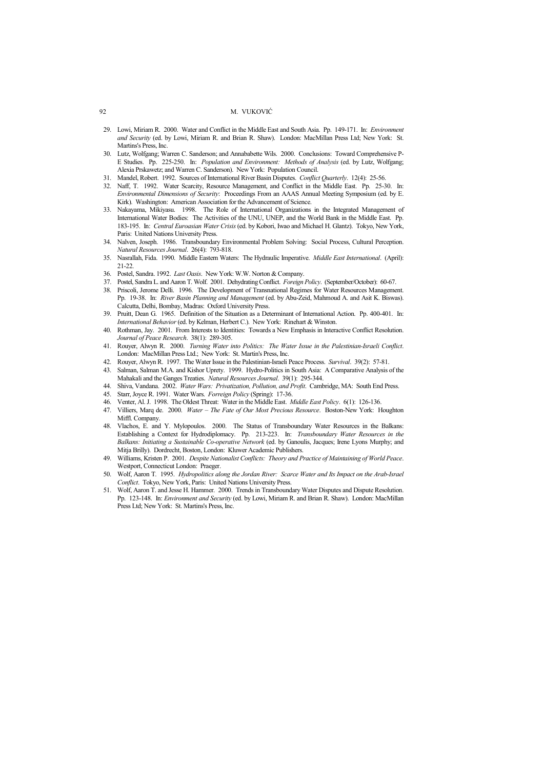- 29. Lowi, Miriam R. 2000. Water and Conflict in the Middle East and South Asia. Pp. 149-171. In: *Environment and Security* (ed. by Lowi, Miriam R. and Brian R. Shaw). London: MacMillan Press Ltd; New York: St. Martins's Press, Inc.
- 30. Lutz, Wolfgang; Warren C. Sanderson; and Annababette Wils. 2000. Conclusions: Toward Comprehensive P-E Studies. Pp. 225-250. In: *Population and Environment: Methods of Analysis* (ed. by Lutz, Wolfgang; Alexia Prskawetz; and Warren C. Sanderson). New York: Population Council.
- 31. Mandel, Robert. 1992. Sources of International River Basin Disputes. *Conflict Quarterly*. 12(4): 25-56.
- 32. Naff, T. 1992. Water Scarcity, Resource Management, and Conflict in the Middle East. Pp. 25-30. In: *Environmental Dimensions of Security*: Proceedings From an AAAS Annual Meeting Symposium (ed. by E. Kirk). Washington: American Association for the Advancement of Science.
- 33. Nakayama, Mikiyasu. 1998. The Role of International Organizations in the Integrated Management of International Water Bodies: The Activities of the UNU, UNEP, and the World Bank in the Middle East. Pp. 183-195. In: *Central Euroasian Water Crisis* (ed. by Kobori, Iwao and Michael H. Glantz). Tokyo, New York, Paris: United Nations University Press.
- 34. Nalven, Joseph. 1986. Transboundary Environmental Problem Solving: Social Process, Cultural Perception. *Natural Resources Journal*. 26(4): 793-818.
- 35. Nasrallah, Fida. 1990. Middle Eastern Waters: The Hydraulic Imperative. *Middle East International*. (April): 21-22.
- 36. Postel, Sandra. 1992. *Last Oasis*. New York: W.W. Norton & Company.
- 37. Postel, Sandra L. and Aaron T. Wolf. 2001. Dehydrating Conflict. *Foreign Policy*. (September/October): 60-67.
- 38. Priscoli, Jerome Delli. 1996. The Development of Transnational Regimes for Water Resources Management. Pp. 19-38. In: *River Basin Planning and Management* (ed. by Abu-Zeid, Mahmoud A. and Asit K. Biswas). Calcutta, Delhi, Bombay, Madras: Oxford University Press.
- 39. Pruitt, Dean G. 1965. Definition of the Situation as a Determinant of International Action. Pp. 400-401. In: *International Behavior* (ed. by Kelman, Herbert C.). New York: Rinehart & Winston.
- 40. Rothman, Jay. 2001. From Interests to Identities: Towards a New Emphasis in Interactive Conflict Resolution. *Journal of Peace Research*. 38(1): 289-305.
- 41. Rouyer, Alwyn R. 2000. *Turning Water into Politics: The Water Issue in the Palestinian-Israeli Conflict*. London: MacMillan Press Ltd.; New York: St. Martin's Press, Inc.
- 42. Rouyer, Alwyn R. 1997. The Water Issue in the Palestinian-Israeli Peace Process. *Survival*. 39(2): 57-81.
- 43. Salman, Salman M.A. and Kishor Uprety. 1999. Hydro-Politics in South Asia: A Comparative Analysis of the Mahakali and the Ganges Treaties. *Natural Resources Journal*. 39(1): 295-344.
- 44. Shiva, Vandana. 2002. *Water Wars: Privatization, Pollution, and Profit*. Cambridge, MA: South End Press.
- 45. Starr, Joyce R. 1991. Water Wars. *Forreign Policy* (Spring): 17-36.
- 46. Venter, Al. J. 1998. The Oldest Threat: Water in the Middle East. *Middle East Policy*. 6(1): 126-136.
- 47. Villiers, Marq de. 2000. *Water The Fate of Our Most Precious Resource*. Boston-New York: Houghton Miffl. Company.
- 48. Vlachos, E. and Y. Mylopoulos. 2000. The Status of Transboundary Water Resources in the Balkans: Establishing a Context for Hydrodiplomacy. Pp. 213-223. In: *Transboundary Water Resources in the Balkans: Initiating a Sustainable Co-operative Network* (ed. by Ganoulis, Jacques; Irene Lyons Murphy; and Mitja Brilly). Dordrecht, Boston, London: Kluwer Academic Publishers.
- 49. Williams, Kristen P. 2001. *Despite Nationalist Conflicts: Theory and Practice of Maintaining of World Peace*. Westport, Connecticut London: Praeger.
- 50. Wolf, Aaron T. 1995. *Hydropolitics along the Jordan River: Scarce Water and Its Impact on the Arab-Israel Conflict*. Tokyo, New York, Paris: United Nations University Press.
- 51. Wolf, Aaron T. and Jesse H. Hammer. 2000. Trends in Transboundary Water Disputes and Dispute Resolution. Pp. 123-148. In: *Environment and Security* (ed. by Lowi, Miriam R. and Brian R. Shaw). London: MacMillan Press Ltd; New York: St. Martins's Press, Inc.